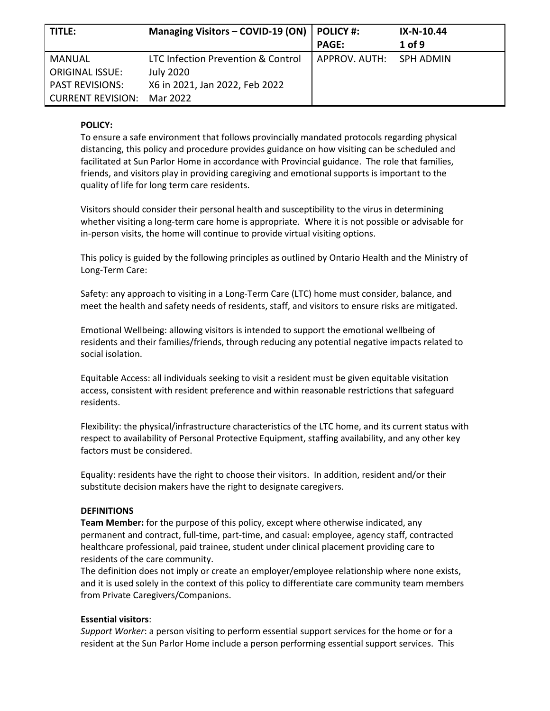| l title:                 | Managing Visitors - COVID-19 (ON)  | <b>POLICY #:</b> | IX-N-10.44 |
|--------------------------|------------------------------------|------------------|------------|
|                          |                                    | <b>PAGE:</b>     | $1$ of 9   |
| MANUAL                   | LTC Infection Prevention & Control | APPROV. AUTH:    | SPH ADMIN  |
| <b>ORIGINAL ISSUE:</b>   | <b>July 2020</b>                   |                  |            |
| <b>PAST REVISIONS:</b>   | X6 in 2021, Jan 2022, Feb 2022     |                  |            |
| <b>CURRENT REVISION:</b> | Mar 2022                           |                  |            |

#### **POLICY:**

To ensure a safe environment that follows provincially mandated protocols regarding physical distancing, this policy and procedure provides guidance on how visiting can be scheduled and facilitated at Sun Parlor Home in accordance with Provincial guidance. The role that families, friends, and visitors play in providing caregiving and emotional supports is important to the quality of life for long term care residents.

Visitors should consider their personal health and susceptibility to the virus in determining whether visiting a long-term care home is appropriate. Where it is not possible or advisable for in-person visits, the home will continue to provide virtual visiting options.

This policy is guided by the following principles as outlined by Ontario Health and the Ministry of Long-Term Care:

Safety: any approach to visiting in a Long-Term Care (LTC) home must consider, balance, and meet the health and safety needs of residents, staff, and visitors to ensure risks are mitigated.

Emotional Wellbeing: allowing visitors is intended to support the emotional wellbeing of residents and their families/friends, through reducing any potential negative impacts related to social isolation.

Equitable Access: all individuals seeking to visit a resident must be given equitable visitation access, consistent with resident preference and within reasonable restrictions that safeguard residents.

Flexibility: the physical/infrastructure characteristics of the LTC home, and its current status with respect to availability of Personal Protective Equipment, staffing availability, and any other key factors must be considered.

Equality: residents have the right to choose their visitors. In addition, resident and/or their substitute decision makers have the right to designate caregivers.

#### **DEFINITIONS**

**Team Member:** for the purpose of this policy, except where otherwise indicated, any permanent and contract, full-time, part-time, and casual: employee, agency staff, contracted healthcare professional, paid trainee, student under clinical placement providing care to residents of the care community.

The definition does not imply or create an employer/employee relationship where none exists, and it is used solely in the context of this policy to differentiate care community team members from Private Caregivers/Companions.

#### **Essential visitors**:

*Support Worker*: a person visiting to perform essential support services for the home or for a resident at the Sun Parlor Home include a person performing essential support services. This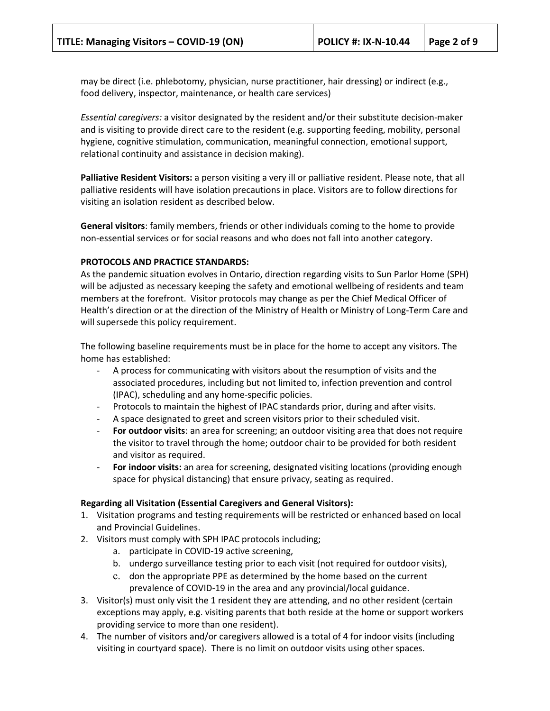may be direct (i.e. phlebotomy, physician, nurse practitioner, hair dressing) or indirect (e.g., food delivery, inspector, maintenance, or health care services)

*Essential caregivers:* a visitor designated by the resident and/or their substitute decision-maker and is visiting to provide direct care to the resident (e.g. supporting feeding, mobility, personal hygiene, cognitive stimulation, communication, meaningful connection, emotional support, relational continuity and assistance in decision making).

**Palliative Resident Visitors:** a person visiting a very ill or palliative resident. Please note, that all palliative residents will have isolation precautions in place. Visitors are to follow directions for visiting an isolation resident as described below.

**General visitors**: family members, friends or other individuals coming to the home to provide non-essential services or for social reasons and who does not fall into another category.

#### **PROTOCOLS AND PRACTICE STANDARDS:**

As the pandemic situation evolves in Ontario, direction regarding visits to Sun Parlor Home (SPH) will be adjusted as necessary keeping the safety and emotional wellbeing of residents and team members at the forefront. Visitor protocols may change as per the Chief Medical Officer of Health's direction or at the direction of the Ministry of Health or Ministry of Long-Term Care and will supersede this policy requirement.

The following baseline requirements must be in place for the home to accept any visitors. The home has established:

- A process for communicating with visitors about the resumption of visits and the associated procedures, including but not limited to, infection prevention and control (IPAC), scheduling and any home-specific policies.
- Protocols to maintain the highest of IPAC standards prior, during and after visits.
- A space designated to greet and screen visitors prior to their scheduled visit.
- **For outdoor visits:** an area for screening; an outdoor visiting area that does not require the visitor to travel through the home; outdoor chair to be provided for both resident and visitor as required.
- **For indoor visits:** an area for screening, designated visiting locations (providing enough space for physical distancing) that ensure privacy, seating as required.

#### **Regarding all Visitation (Essential Caregivers and General Visitors):**

- 1. Visitation programs and testing requirements will be restricted or enhanced based on local and Provincial Guidelines.
- 2. Visitors must comply with SPH IPAC protocols including;
	- a. participate in COVID-19 active screening,
	- b. undergo surveillance testing prior to each visit (not required for outdoor visits),
	- c. don the appropriate PPE as determined by the home based on the current prevalence of COVID-19 in the area and any provincial/local guidance.
- 3. Visitor(s) must only visit the 1 resident they are attending, and no other resident (certain exceptions may apply, e.g. visiting parents that both reside at the home or support workers providing service to more than one resident).
- 4. The number of visitors and/or caregivers allowed is a total of 4 for indoor visits (including visiting in courtyard space). There is no limit on outdoor visits using other spaces.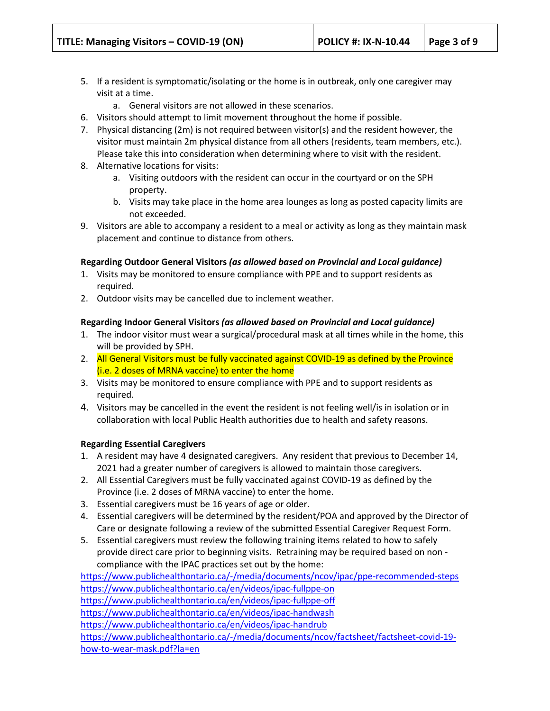- 5. If a resident is symptomatic/isolating or the home is in outbreak, only one caregiver may visit at a time.
	- a. General visitors are not allowed in these scenarios.
- 6. Visitors should attempt to limit movement throughout the home if possible.
- 7. Physical distancing (2m) is not required between visitor(s) and the resident however, the visitor must maintain 2m physical distance from all others (residents, team members, etc.). Please take this into consideration when determining where to visit with the resident.
- 8. Alternative locations for visits:
	- a. Visiting outdoors with the resident can occur in the courtyard or on the SPH property.
	- b. Visits may take place in the home area lounges as long as posted capacity limits are not exceeded.
- 9. Visitors are able to accompany a resident to a meal or activity as long as they maintain mask placement and continue to distance from others.

#### **Regarding Outdoor General Visitors** *(as allowed based on Provincial and Local guidance)*

- 1. Visits may be monitored to ensure compliance with PPE and to support residents as required.
- 2. Outdoor visits may be cancelled due to inclement weather.

### **Regarding Indoor General Visitors** *(as allowed based on Provincial and Local guidance)*

- 1. The indoor visitor must wear a surgical/procedural mask at all times while in the home, this will be provided by SPH.
- 2. All General Visitors must be fully vaccinated against COVID-19 as defined by the Province (i.e. 2 doses of MRNA vaccine) to enter the home
- 3. Visits may be monitored to ensure compliance with PPE and to support residents as required.
- 4. Visitors may be cancelled in the event the resident is not feeling well/is in isolation or in collaboration with local Public Health authorities due to health and safety reasons.

#### **Regarding Essential Caregivers**

- 1. A resident may have 4 designated caregivers. Any resident that previous to December 14, 2021 had a greater number of caregivers is allowed to maintain those caregivers.
- 2. All Essential Caregivers must be fully vaccinated against COVID-19 as defined by the Province (i.e. 2 doses of MRNA vaccine) to enter the home.
- 3. Essential caregivers must be 16 years of age or older.
- 4. Essential caregivers will be determined by the resident/POA and approved by the Director of Care or designate following a review of the submitted Essential Caregiver Request Form.
- 5. Essential caregivers must review the following training items related to how to safely provide direct care prior to beginning visits. Retraining may be required based on non compliance with the IPAC practices set out by the home:

<https://www.publichealthontario.ca/-/media/documents/ncov/ipac/ppe-recommended-steps> <https://www.publichealthontario.ca/en/videos/ipac-fullppe-on> <https://www.publichealthontario.ca/en/videos/ipac-fullppe-off> <https://www.publichealthontario.ca/en/videos/ipac-handwash> <https://www.publichealthontario.ca/en/videos/ipac-handrub> [https://www.publichealthontario.ca/-/media/documents/ncov/factsheet/factsheet-covid-19](https://www.publichealthontario.ca/-/media/documents/ncov/factsheet/factsheet-covid-19-how-to-wear-mask.pdf?la=en) [how-to-wear-mask.pdf?la=en](https://www.publichealthontario.ca/-/media/documents/ncov/factsheet/factsheet-covid-19-how-to-wear-mask.pdf?la=en)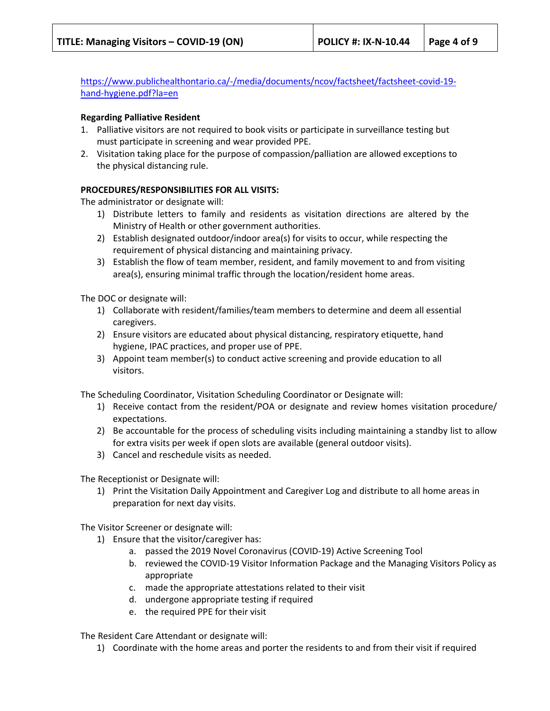[https://www.publichealthontario.ca/-/media/documents/ncov/factsheet/factsheet-covid-19](https://www.publichealthontario.ca/-/media/documents/ncov/factsheet/factsheet-covid-19-hand-hygiene.pdf?la=en) [hand-hygiene.pdf?la=en](https://www.publichealthontario.ca/-/media/documents/ncov/factsheet/factsheet-covid-19-hand-hygiene.pdf?la=en)

#### **Regarding Palliative Resident**

- 1. Palliative visitors are not required to book visits or participate in surveillance testing but must participate in screening and wear provided PPE.
- 2. Visitation taking place for the purpose of compassion/palliation are allowed exceptions to the physical distancing rule.

### **PROCEDURES/RESPONSIBILITIES FOR ALL VISITS:**

The administrator or designate will:

- 1) Distribute letters to family and residents as visitation directions are altered by the Ministry of Health or other government authorities.
- 2) Establish designated outdoor/indoor area(s) for visits to occur, while respecting the requirement of physical distancing and maintaining privacy.
- 3) Establish the flow of team member, resident, and family movement to and from visiting area(s), ensuring minimal traffic through the location/resident home areas.

The DOC or designate will:

- 1) Collaborate with resident/families/team members to determine and deem all essential caregivers.
- 2) Ensure visitors are educated about physical distancing, respiratory etiquette, hand hygiene, IPAC practices, and proper use of PPE.
- 3) Appoint team member(s) to conduct active screening and provide education to all visitors.

The Scheduling Coordinator, Visitation Scheduling Coordinator or Designate will:

- 1) Receive contact from the resident/POA or designate and review homes visitation procedure/ expectations.
- 2) Be accountable for the process of scheduling visits including maintaining a standby list to allow for extra visits per week if open slots are available (general outdoor visits).
- 3) Cancel and reschedule visits as needed.

The Receptionist or Designate will:

1) Print the Visitation Daily Appointment and Caregiver Log and distribute to all home areas in preparation for next day visits.

The Visitor Screener or designate will:

- 1) Ensure that the visitor/caregiver has:
	- a. passed the 2019 Novel Coronavirus (COVID-19) Active Screening Tool
	- b. reviewed the COVID-19 Visitor Information Package and the Managing Visitors Policy as appropriate
	- c. made the appropriate attestations related to their visit
	- d. undergone appropriate testing if required
	- e. the required PPE for their visit

The Resident Care Attendant or designate will:

1) Coordinate with the home areas and porter the residents to and from their visit if required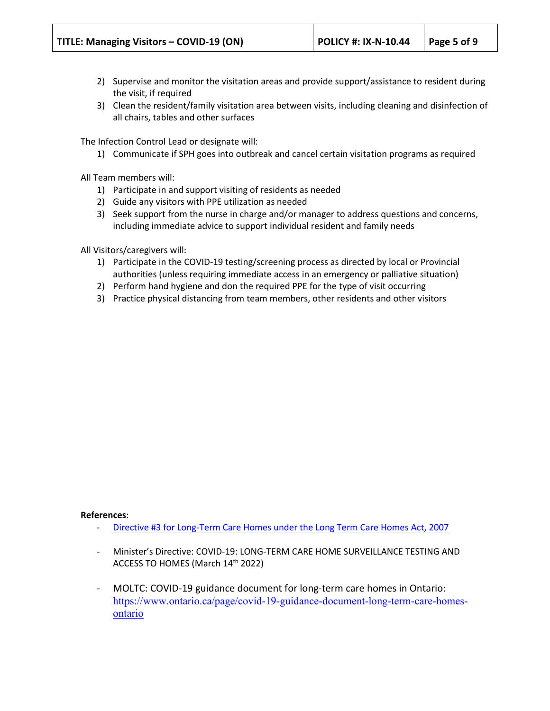- 2) Supervise and monitor the visitation areas and provide support/assistance to resident during the visit, if required
- 3) Clean the resident/family visitation area between visits, including cleaning and disinfection of all chairs, tables and other surfaces

The Infection Control Lead or designate will:

1) Communicate if SPH goes into outbreak and cancel certain visitation programs as required

All Team members will:

- 1) Participate in and support visiting of residents as needed
- 2) Guide any visitors with PPE utilization as needed
- 3) Seek support from the nurse in charge and/or manager to address questions and concerns, including immediate advice to support individual resident and family needs

All Visitors/caregivers will:

- 1) Participate in the COVID-19 testing/screening process as directed by local or Provincial authorities (unless requiring immediate access in an emergency or palliative situation)
- 2) Perform hand hygiene and don the required PPE for the type of visit occurring
- 3) Practice physical distancing from team members, other residents and other visitors

#### **References**:

- [Directive #3 for Long-Term Care Homes under the Long Term Care Homes Act, 2007](http://www.health.gov.on.ca/en/pro/programs/publichealth/coronavirus/docs/directives/LTCH_HPPA.pdf)
- Minister's Directive: COVID-19: LONG-TERM CARE HOME SURVEILLANCE TESTING AND ACCESS TO HOMES (March 14th 2022)
- MOLTC: COVID-19 guidance document for long-term care homes in Ontario: [https://www.ontario.ca/page/covid-19-guidance-document-long-term-care-homes](https://www.ontario.ca/page/covid-19-guidance-document-long-term-care-homes-ontario)[ontario](https://www.ontario.ca/page/covid-19-guidance-document-long-term-care-homes-ontario)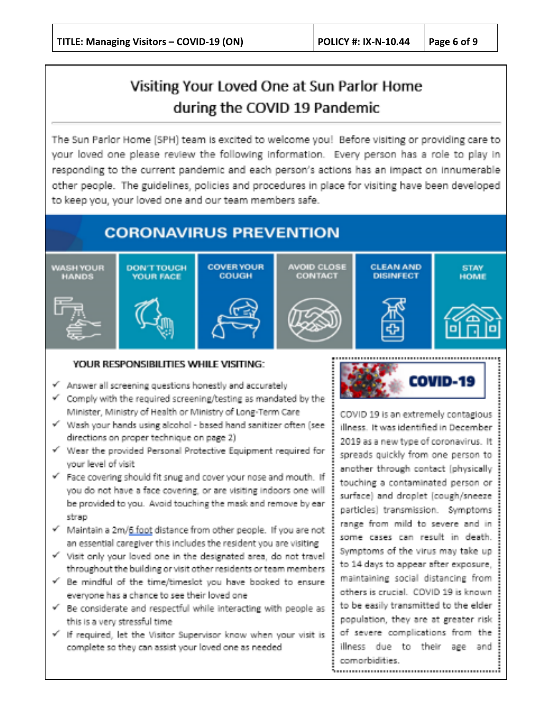# Visiting Your Loved One at Sun Parlor Home during the COVID 19 Pandemic

The Sun Parlor Home (SPH) team is excited to welcome you! Before visiting or providing care to your loved one please review the following information. Every person has a role to play in responding to the current pandemic and each person's actions has an impact on innumerable other people. The guidelines, policies and procedures in place for visiting have been developed to keep you, your loved one and our team members safe.

## **CORONAVIRUS PREVENTION**



### YOUR RESPONSIBILITIES WHILE VISITING:

- Answer all screening questions honestly and accurately
- Comply with the required screening/testing as mandated by the Minister, Ministry of Health or Ministry of Long-Term Care
- V Wash your hands using alcohol based hand sanitizer often (see directions on proper technique on page 2).
- v<sup>'</sup> Wear the provided Personal Protective Equipment required for your level of visit
- Face covering should fit snug and cover your nose and mouth. If you do not have a face covering, or are visiting indoors one will be provided to you. Avoid touching the mask and remove by ear strap
- Maintain a 2m/6 foot distance from other people. If you are not an essential caregiver this includes the resident you are visiting
- v' Visit only your loved one in the designated area, do not travel throughout the building or visit other residents or team members
- De mindful of the time/timeslot you have booked to ensure everyone has a chance to see their loved one
- E considerate and respectful while interacting with people as this is a very stressful time.
- v If required, let the Visitor Supervisor know when your visit is complete so they can assist your loved one as needed



COVID 19 is an extremely contagious illness. It was identified in December 2019 as a new twoe of coronavirus. It spreads quickly from one person to another through contact (physically) touching a contaminated person or surface) and droplet (cough/sneeze { particles] transmission. Symptoms range from mild to severe and insome cases can result in death. Symptoms of the virus may take up to 14 days to appear after exposure, maintaining social distancing from others is crucial. COVID 19 is known to be easily transmitted to the elder population, they are at greater risk of severe complications from the illness due to their age andl comorbidities.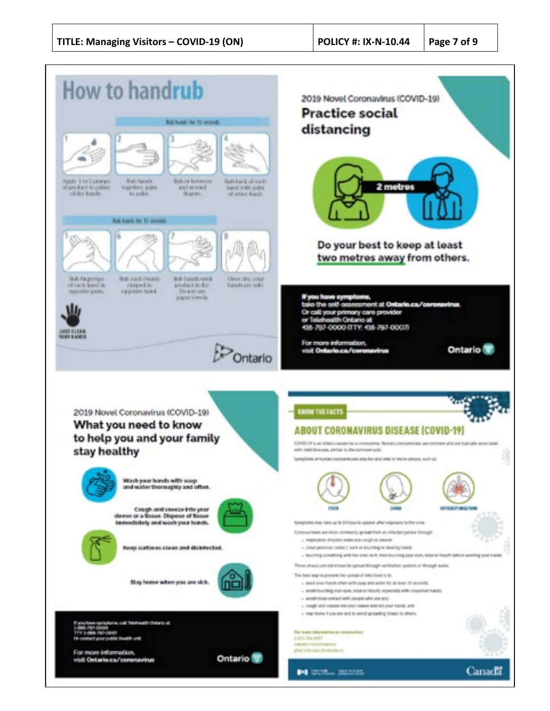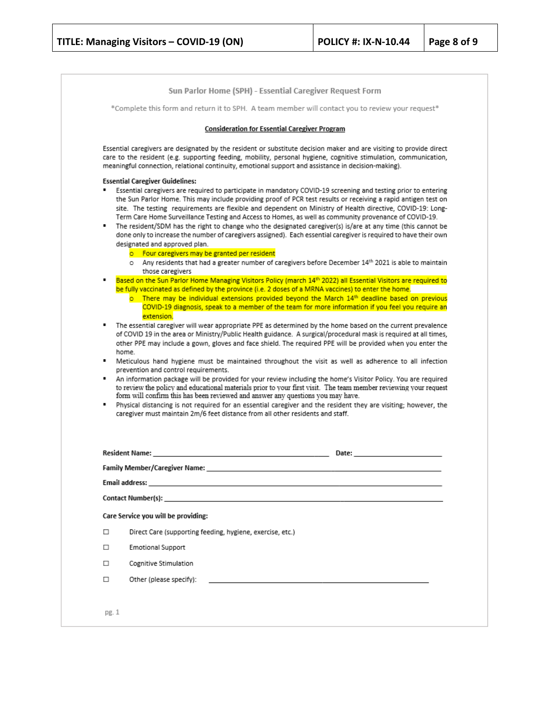|        | Sun Parlor Home (SPH) - Essential Caregiver Request Form                                                                                                                                                                                                                                                                                                                                                                                                                                                                                                                                                                                                                                                                                                                                                                                                                                                                        |
|--------|---------------------------------------------------------------------------------------------------------------------------------------------------------------------------------------------------------------------------------------------------------------------------------------------------------------------------------------------------------------------------------------------------------------------------------------------------------------------------------------------------------------------------------------------------------------------------------------------------------------------------------------------------------------------------------------------------------------------------------------------------------------------------------------------------------------------------------------------------------------------------------------------------------------------------------|
|        | *Complete this form and return it to SPH. A team member will contact you to review your request*                                                                                                                                                                                                                                                                                                                                                                                                                                                                                                                                                                                                                                                                                                                                                                                                                                |
|        | <b>Consideration for Essential Caregiver Program</b>                                                                                                                                                                                                                                                                                                                                                                                                                                                                                                                                                                                                                                                                                                                                                                                                                                                                            |
|        | Essential caregivers are designated by the resident or substitute decision maker and are visiting to provide direct<br>care to the resident (e.g. supporting feeding, mobility, personal hygiene, cognitive stimulation, communication,<br>meaningful connection, relational continuity, emotional support and assistance in decision-making).                                                                                                                                                                                                                                                                                                                                                                                                                                                                                                                                                                                  |
|        | <b>Essential Caregiver Guidelines:</b><br>Essential caregivers are required to participate in mandatory COVID-19 screening and testing prior to entering<br>the Sun Parlor Home. This may include providing proof of PCR test results or receiving a rapid antigen test on<br>site. The testing requirements are flexible and dependent on Ministry of Health directive, COVID-19: Long-<br>Term Care Home Surveillance Testing and Access to Homes, as well as community provenance of COVID-19.<br>The resident/SDM has the right to change who the designated caregiver(s) is/are at any time (this cannot be<br>done only to increase the number of caregivers assigned). Each essential caregiver is required to have their own<br>designated and approved plan.<br>o Four caregivers may be granted per resident<br>o Any residents that had a greater number of caregivers before December 14th 2021 is able to maintain |
|        | those caregivers<br>Based on the Sun Parlor Home Managing Visitors Policy (march 14 <sup>th</sup> 2022) all Essential Visitors are required to<br>be fully vaccinated as defined by the province (i.e. 2 doses of a MRNA vaccines) to enter the home.<br>$\circ$ There may be individual extensions provided beyond the March $14th$ deadline based on previous<br>COVID-19 diagnosis, speak to a member of the team for more information if you feel you require an<br>extension.                                                                                                                                                                                                                                                                                                                                                                                                                                              |
| ٠      | The essential caregiver will wear appropriate PPE as determined by the home based on the current prevalence<br>of COVID 19 in the area or Ministry/Public Health guidance. A surgical/procedural mask is required at all times,<br>other PPE may include a gown, gloves and face shield. The required PPE will be provided when you enter the<br>home.<br>" Meticulous hand hygiene must be maintained throughout the visit as well as adherence to all infection<br>prevention and control requirements.                                                                                                                                                                                                                                                                                                                                                                                                                       |
| ٠      | An information package will be provided for your review including the home's Visitor Policy. You are required<br>to review the policy and educational materials prior to your first visit. The team member reviewing your request<br>form will confirm this has been reviewed and answer any questions you may have.<br>Physical distancing is not required for an essential caregiver and the resident they are visiting; however, the<br>caregiver must maintain 2m/6 feet distance from all other residents and staff.                                                                                                                                                                                                                                                                                                                                                                                                       |
|        | Resident Name:<br><u> 1980 - Jan Sterling Sterling (f. 1980)</u>                                                                                                                                                                                                                                                                                                                                                                                                                                                                                                                                                                                                                                                                                                                                                                                                                                                                |
|        | Family Member/Caregiver Name:                                                                                                                                                                                                                                                                                                                                                                                                                                                                                                                                                                                                                                                                                                                                                                                                                                                                                                   |
|        | Email address: __                                                                                                                                                                                                                                                                                                                                                                                                                                                                                                                                                                                                                                                                                                                                                                                                                                                                                                               |
|        |                                                                                                                                                                                                                                                                                                                                                                                                                                                                                                                                                                                                                                                                                                                                                                                                                                                                                                                                 |
|        | Care Service you will be providing:                                                                                                                                                                                                                                                                                                                                                                                                                                                                                                                                                                                                                                                                                                                                                                                                                                                                                             |
| □      | Direct Care (supporting feeding, hygiene, exercise, etc.)                                                                                                                                                                                                                                                                                                                                                                                                                                                                                                                                                                                                                                                                                                                                                                                                                                                                       |
| $\Box$ | <b>Emotional Support</b>                                                                                                                                                                                                                                                                                                                                                                                                                                                                                                                                                                                                                                                                                                                                                                                                                                                                                                        |
| □      | Cognitive Stimulation                                                                                                                                                                                                                                                                                                                                                                                                                                                                                                                                                                                                                                                                                                                                                                                                                                                                                                           |
| $\Box$ | Other (please specify):                                                                                                                                                                                                                                                                                                                                                                                                                                                                                                                                                                                                                                                                                                                                                                                                                                                                                                         |
|        |                                                                                                                                                                                                                                                                                                                                                                                                                                                                                                                                                                                                                                                                                                                                                                                                                                                                                                                                 |
|        |                                                                                                                                                                                                                                                                                                                                                                                                                                                                                                                                                                                                                                                                                                                                                                                                                                                                                                                                 |